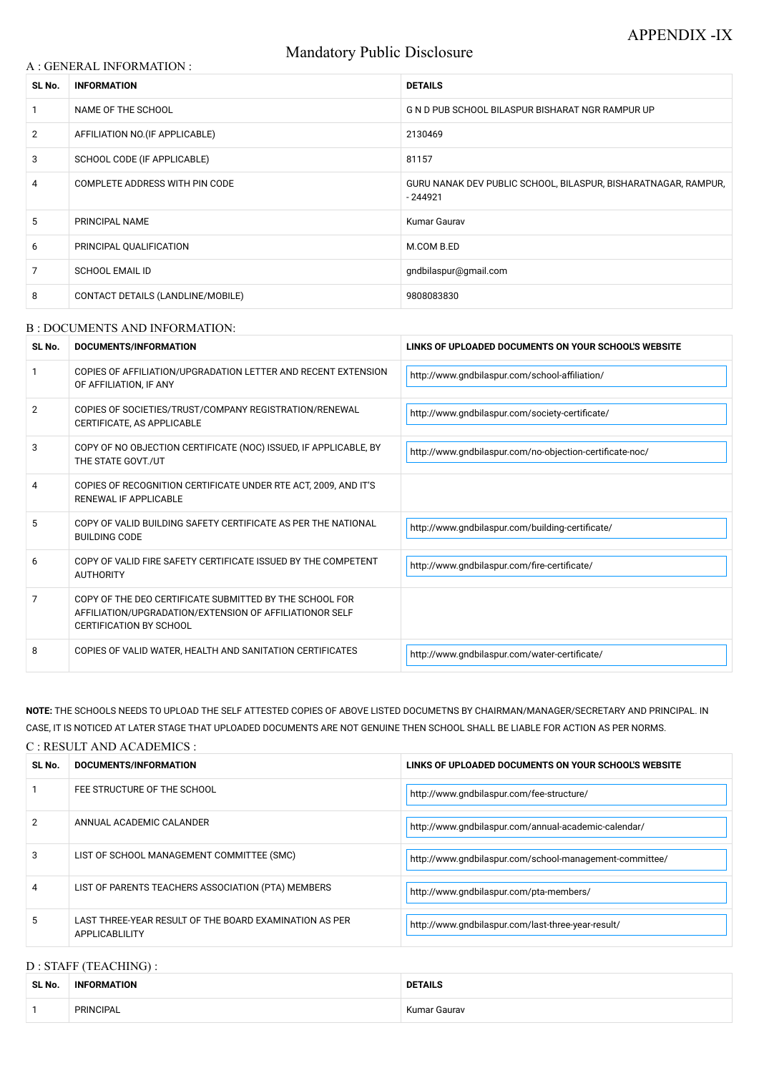# Mandatory Public Disclosure

## A : GENERAL INFORMATION :

| SL No.         | <b>INFORMATION</b>                | <b>DETAILS</b>                                                              |  |
|----------------|-----------------------------------|-----------------------------------------------------------------------------|--|
|                | NAME OF THE SCHOOL                | G N D PUB SCHOOL BILASPUR BISHARAT NGR RAMPUR UP                            |  |
| $\overline{2}$ | AFFILIATION NO. (IF APPLICABLE)   | 2130469                                                                     |  |
| 3              | SCHOOL CODE (IF APPLICABLE)       | 81157                                                                       |  |
| 4              | COMPLETE ADDRESS WITH PIN CODE    | GURU NANAK DEV PUBLIC SCHOOL, BILASPUR, BISHARATNAGAR, RAMPUR,<br>$-244921$ |  |
| 5              | PRINCIPAL NAME                    | Kumar Gaurav                                                                |  |
| 6              | PRINCIPAL QUALIFICATION           | M.COM B.ED                                                                  |  |
| 7              | <b>SCHOOL EMAIL ID</b>            | gndbilaspur@gmail.com                                                       |  |
| 8              | CONTACT DETAILS (LANDLINE/MOBILE) | 9808083830                                                                  |  |

### B : DOCUMENTS AND INFORMATION:

| SL No.         | <b>DOCUMENTS/INFORMATION</b>                                                                                                                         | LINKS OF UPLOADED DOCUMENTS ON YOUR SCHOOL'S WEBSITE     |
|----------------|------------------------------------------------------------------------------------------------------------------------------------------------------|----------------------------------------------------------|
|                | COPIES OF AFFILIATION/UPGRADATION LETTER AND RECENT EXTENSION<br>OF AFFILIATION, IF ANY                                                              | http://www.gndbilaspur.com/school-affiliation/           |
| $\overline{2}$ | COPIES OF SOCIETIES/TRUST/COMPANY REGISTRATION/RENEWAL<br>CERTIFICATE, AS APPLICABLE                                                                 | http://www.gndbilaspur.com/society-certificate/          |
| 3              | COPY OF NO OBJECTION CERTIFICATE (NOC) ISSUED, IF APPLICABLE, BY<br>THE STATE GOVT./UT                                                               | http://www.gndbilaspur.com/no-objection-certificate-noc/ |
| 4              | COPIES OF RECOGNITION CERTIFICATE UNDER RTE ACT, 2009, AND IT'S<br>RENEWAL IF APPLICABLE                                                             |                                                          |
| 5              | COPY OF VALID BUILDING SAFETY CERTIFICATE AS PER THE NATIONAL<br><b>BUILDING CODE</b>                                                                | http://www.gndbilaspur.com/building-certificate/         |
| 6              | COPY OF VALID FIRE SAFETY CERTIFICATE ISSUED BY THE COMPETENT<br><b>AUTHORITY</b>                                                                    | http://www.gndbilaspur.com/fire-certificate/             |
| 7              | COPY OF THE DEO CERTIFICATE SUBMITTED BY THE SCHOOL FOR<br>AFFILIATION/UPGRADATION/EXTENSION OF AFFILIATIONOR SELF<br><b>CERTIFICATION BY SCHOOL</b> |                                                          |
| 8              | COPIES OF VALID WATER, HEALTH AND SANITATION CERTIFICATES                                                                                            | http://www.gndbilaspur.com/water-certificate/            |

| 2 | ANNUAL ACADEMIC CALANDER                                                 | http://www.gndbilaspur.com/annual-academic-calendar/    |
|---|--------------------------------------------------------------------------|---------------------------------------------------------|
| 3 | LIST OF SCHOOL MANAGEMENT COMMITTEE (SMC)                                | http://www.gndbilaspur.com/school-management-committee/ |
| 4 | LIST OF PARENTS TEACHERS ASSOCIATION (PTA) MEMBERS                       | http://www.gndbilaspur.com/pta-members/                 |
| 5 | LAST THREE-YEAR RESULT OF THE BOARD EXAMINATION AS PER<br>APPLICABLILITY | http://www.gndbilaspur.com/last-three-year-result/      |

**NOTE:** THE SCHOOLS NEEDS TO UPLOAD THE SELF ATTESTED COPIES OF ABOVE LISTED DOCUMETNS BY CHAIRMAN/MANAGER/SECRETARY AND PRINCIPAL. IN CASE, IT IS NOTICED AT LATER STAGE THAT UPLOADED DOCUMENTS ARE NOT GENUINE THEN SCHOOL SHALL BE LIABLE FOR ACTION AS PER NORMS.

#### C : RESULT AND ACADEMICS :

| SL No. | DOCUMENTS/INFORMATION       | LINKS OF UPLOADED DOCUMENTS ON YOUR SCHOOL'S WEBSITE |
|--------|-----------------------------|------------------------------------------------------|
|        | FEE STRUCTURE OF THE SCHOOL | http://www.gndbilaspur.com/fee-structure/            |

# D : STAFF (TEACHING) :

| SL No. | <b>INFORMATION</b> | <b>DETAILS</b> |
|--------|--------------------|----------------|
|        | <b>PRINCIPAL</b>   | Kumar Gaurav   |